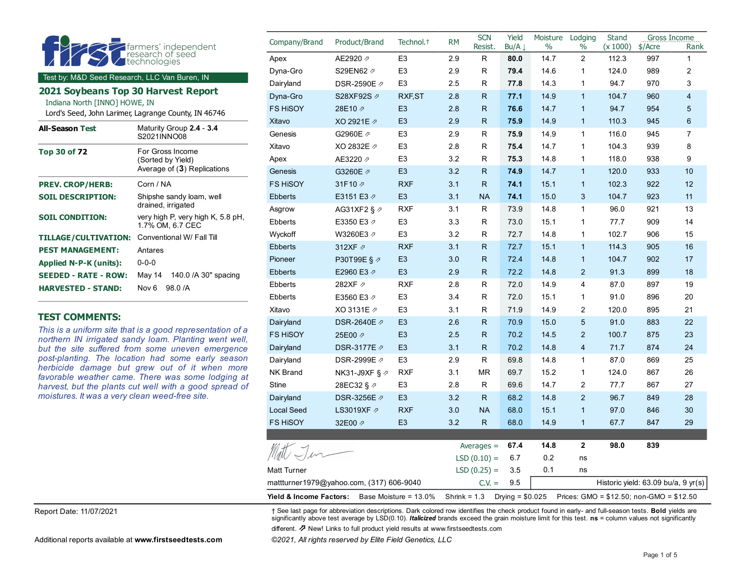|                                                                                                                    |                                                       | Company/Brand             | Product/Brand  | Technol. <sup>+</sup> | <b>RM</b> | <b>SCN</b><br><b>Resist</b> | Yield<br>Bu/A $\downarrow$ | Moisture Lodging<br>$\frac{0}{0}$ | $\%$           | Stand<br>(x 1000) | Gross Income<br>\$/Acre | Rank           |
|--------------------------------------------------------------------------------------------------------------------|-------------------------------------------------------|---------------------------|----------------|-----------------------|-----------|-----------------------------|----------------------------|-----------------------------------|----------------|-------------------|-------------------------|----------------|
|                                                                                                                    | farmers' independent<br>technologies                  | Apex                      | AE2920 2       | E <sub>3</sub>        | 2.9       | R                           | 80.0                       | 14.7                              | $\overline{2}$ | 112.3             | 997                     | $\mathbf{1}$   |
|                                                                                                                    | Dyna-Gro                                              | S29EN62 2                 | E <sub>3</sub> | 2.9                   | R         | 79.4                        | 14.6                       | 1                                 | 124.0          | 989               | $\overline{2}$          |                |
| Test by: M&D Seed Research, LLC Van Buren, IN                                                                      |                                                       | Dairyland                 | DSR-2590E 2    | E <sub>3</sub>        | 2.5       | R                           | 77.8                       | 14.3                              | 1              | 94.7              | 970                     | 3              |
| 2021 Soybeans Top 30 Harvest Report                                                                                |                                                       | Dyna-Gro                  | S28XF92S 2     | <b>RXF,ST</b>         | 2.8       | R.                          | 77.1                       | 14.9                              | $\mathbf{1}$   | 104.7             | 960                     | $\overline{4}$ |
| Indiana North [INNO] HOWE, IN<br>Lord's Seed, John Larimer, Lagrange County, IN 46746                              | <b>FS HISOY</b>                                       | 28E10 2                   | E <sub>3</sub> | 2.8                   | R.        | 76.6                        | 14.7                       | $\mathbf{1}$                      | 94.7           | 954               | $\overline{5}$          |                |
|                                                                                                                    |                                                       | Xitavo                    | XO 2921E 2     | E <sub>3</sub>        | 2.9       | R.                          | 75.9                       | 14.9                              | $\mathbf{1}$   | 110.3             | 945                     | 6              |
| <b>All-Season Test</b>                                                                                             | Maturity Group 2.4 - 3.4<br>S2021INNO08               | Genesis                   | G2960E 2       | E <sub>3</sub>        | 2.9       | R                           | 75.9                       | 14.9                              | 1              | 116.0             | 945                     | $\overline{7}$ |
| <b>Top 30 of 72</b>                                                                                                | For Gross Income                                      | Xitavo                    | XO 2832E 2     | E <sub>3</sub>        | 2.8       | R                           | 75.4                       | 14.7                              | 1              | 104.3             | 939                     | 8              |
|                                                                                                                    | (Sorted by Yield)                                     | Apex                      | AE3220 2       | E <sub>3</sub>        | 3.2       | R                           | 75.3                       | 14.8                              | $\mathbf{1}$   | 118.0             | 938                     | 9              |
|                                                                                                                    | Average of (3) Replications                           | Genesis                   | G3260E 2       | E <sub>3</sub>        | 3.2       | R.                          | 74.9                       | 14.7                              | $\mathbf{1}$   | 120.0             | 933                     | 10             |
| <b>PREV. CROP/HERB:</b>                                                                                            | Corn / NA                                             | <b>FS HISOY</b>           | 31F10 2        | <b>RXF</b>            | 3.1       | R.                          | 74.1                       | 15.1                              | $\mathbf{1}$   | 102.3             | 922                     | 12             |
| <b>SOIL DESCRIPTION:</b>                                                                                           | Shipshe sandy loam, well                              | <b>Ebberts</b>            | E3151 E3 2     | E <sub>3</sub>        | 3.1       | <b>NA</b>                   | 74.1                       | 15.0                              | 3              | 104.7             | 923                     | 11             |
|                                                                                                                    | drained, irrigated                                    | Asgrow                    | AG31XF2 § ク    | <b>RXF</b>            | 3.1       | R.                          | 73.9                       | 14.8                              | 1              | 96.0              | 921                     | 13             |
| <b>SOIL CONDITION:</b>                                                                                             | very high P, very high K, 5.8 pH,<br>1.7% OM, 6.7 CEC | Ebberts                   | E3350 E3 2     | E <sub>3</sub>        | 3.3       | R.                          | 73.0                       | 15.1                              | 1              | 77.7              | 909                     | 14             |
|                                                                                                                    | TILLAGE/CULTIVATION: Conventional W/ Fall Till        |                           | W3260E3 ₽      | E <sub>3</sub>        | 3.2       | R.                          | 72.7                       | 14.8                              | $\mathbf{1}$   | 102.7             | 906                     | 15             |
| <b>PEST MANAGEMENT:</b>                                                                                            | Antares                                               | <b>Ebberts</b>            | 312XF A        | <b>RXF</b>            | 3.1       | R.                          | 72.7                       | 15.1                              | $\mathbf{1}$   | 114.3             | 905                     | 16             |
| <b>Applied N-P-K (units):</b>                                                                                      | $0 - 0 - 0$                                           | Pioneer                   | P30T99E§ Ø     | E <sub>3</sub>        | 3.0       | R.                          | 72.4                       | 14.8                              | $\mathbf{1}$   | 104.7             | 902                     | 17             |
| <b>SEEDED - RATE - ROW:</b>                                                                                        | 140.0 / A 30" spacing<br>May 14                       | <b>Ebberts</b>            | E2960 E3 2     | E <sub>3</sub>        | 2.9       | R.                          | 72.2                       | 14.8                              | $\overline{2}$ | 91.3              | 899                     | 18             |
| Nov <sub>6</sub><br>98.0 /A<br><b>HARVESTED - STAND:</b>                                                           |                                                       | Ebberts                   | 282XF A        | <b>RXF</b>            | 2.8       | R.                          | 72.0                       | 14.9                              | 4              | 87.0              | 897                     | 19             |
|                                                                                                                    |                                                       | <b>Ebberts</b>            | E3560 E3 2     | E <sub>3</sub>        | 3.4       | R                           | 72.0                       | 15.1                              | 1              | 91.0              | 896                     | 20             |
|                                                                                                                    |                                                       | Xitavo                    | XO 3131E 2     | E <sub>3</sub>        | 3.1       | R                           | 71.9                       | 14.9                              | $\overline{2}$ | 120.0             | 895                     | 21             |
| <b>TEST COMMENTS:</b>                                                                                              |                                                       | Dairyland                 | DSR-2640E 2    | E <sub>3</sub>        | 2.6       | R.                          | 70.9                       | 15.0                              | 5              | 91.0              | 883                     | 22             |
| This is a uniform site that is a good representation of a<br>northern IN irrigated sandy loam. Planting went well, |                                                       | <b>FS HISOY</b>           | 25E00 2        | E <sub>3</sub>        | 2.5       | R.                          | 70.2                       | 14.5                              | $\overline{2}$ | 100.7             | 875                     | 23             |
| but the site suffered from some uneven emergence                                                                   | Dairyland                                             | DSR-3177E 2               | E <sub>3</sub> | 3.1                   | R.        | 70.2                        | 14.8                       | $\overline{4}$                    | 71.7           | 874               | 24                      |                |
| post-planting. The location had some early season                                                                  | Dairyland                                             | DSR-2999E 2               | E <sub>3</sub> | 2.9                   | R         | 69.8                        | 14.8                       | $\mathbf{1}$                      | 87.0           | 869               | 25                      |                |
| herbicide damage but grew out of it when more<br>favorable weather came. There was some lodging at                 | NK Brand                                              | NK31-J9XF § $\varnothing$ | <b>RXF</b>     | 3.1                   | <b>MR</b> | 69.7                        | 15.2                       | 1                                 | 124.0          | 867               | 26                      |                |
| harvest, but the plants cut well with a good spread of                                                             | Stine                                                 | 28EC32 § 2                | E <sub>3</sub> | 2.8                   | R         | 69.6                        | 14.7                       | 2                                 | 77.7           | 867               | 27                      |                |
| moistures. It was a very clean weed-free site.                                                                     | Dairyland                                             | DSR-3256E 2               | E <sub>3</sub> | 3.2                   | R.        | 68.2                        | 14.8                       | $\overline{2}$                    | 96.7           | 849               | 28                      |                |
|                                                                                                                    |                                                       | <b>Local Seed</b>         | LS3019XF ク     | <b>RXF</b>            | 3.0       | <b>NA</b>                   | 68.0                       | 15.1                              | $\mathbf{1}$   | 97.0              | 846                     | 30             |
|                                                                                                                    |                                                       | <b>FS HISOY</b>           | 32E00 2        | E <sub>3</sub>        | 3.2       | R.                          | 68.0                       | 14.9                              | $\mathbf{1}$   | 67.7              | 847                     | 29             |

Report Date: 11/07/2021 † See last page for abbreviation descriptions. Dark colored row identifies the check product found in early- and full-season tests. **Bold** yields are significantly above test average by LSD(0.10). *Italicized* brands exceed the grain moisture limit for this test. **ns** = column values not significantly **Yield & Income Factors:** Base Moisture = 13.0% Shrink = 1.3 Drying = \$0.025 Prices: GMO = \$12.50; non-GMO = \$12.50

mattturner1979@yahoo.com, (317) 606-9040 C.V. = 9.5 | Historic yield: 63.09 bu/a, 9 yr(s)

Averages = **67.4 14.8 2 98.0 839**

LSD  $(0.10) = 6.7$  0.2 ns

different. ⇗ New! Links to full product yield results at www.firstseedtests.com

Matt Turner  $LSD (0.25) = 3.5$  0.1 ns

Additional reports available at **[www.firstseedtests.com](https://www.firstseedtests.com)** *©2021, All rights reserved by Elite Field Genetics, LLC* 

Matt Jun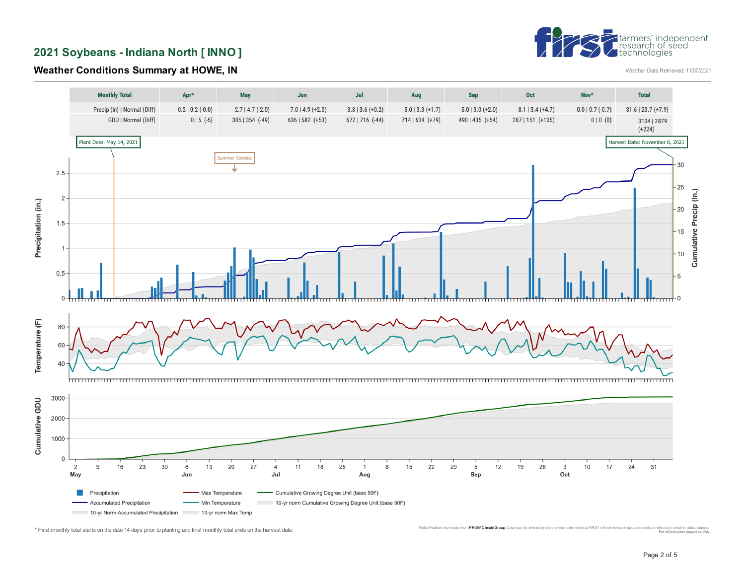

**2021 Soybeans - Indiana North [ INNO ]** 

#### **Weather Conditions Summary at HOWE, IN**



<sup>\*</sup> First monthly total starts on the date 14 days prior to planting and final monthly total ends on the harvest date. Monic was the computation and the computation and the computation provider all environment in the computa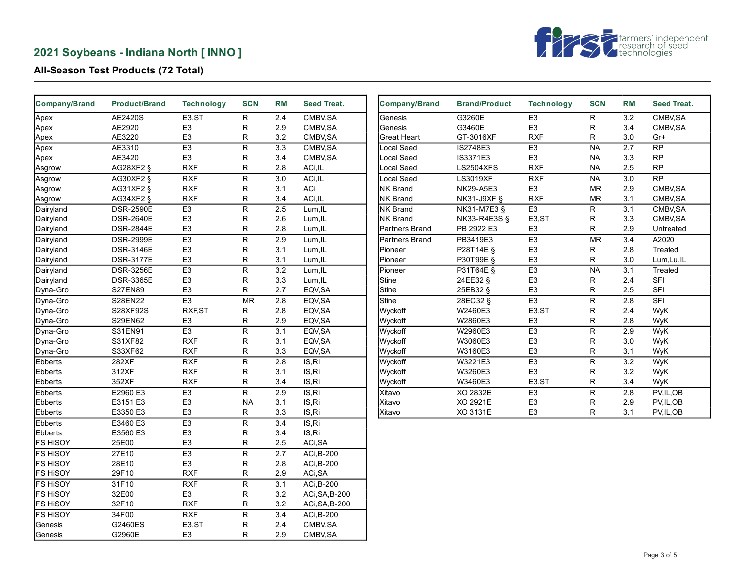# **2021 Soybeans - Indiana North [ INNO ]**



## **All-Season Test Products (72 Total)**

| Company/Brand   | <b>Product/Brand</b> | <b>Technology</b>  | <b>SCN</b>              | <b>RM</b>        | Seed Treat.       | <b>Company/Brand</b> | <b>Brand/Product</b> | <b>Technology</b>  | <b>SCN</b>     | RM               | Seed Treat.     |
|-----------------|----------------------|--------------------|-------------------------|------------------|-------------------|----------------------|----------------------|--------------------|----------------|------------------|-----------------|
| Apex            | AE2420S              | E3,ST              | $\overline{R}$          | 2.4              | CMBV, SA          | Genesis              | G3260E               | E3                 | R.             | 3.2              | CMBV, SA        |
| Apex            | AE2920               | E <sub>3</sub>     | R                       | 2.9              | CMBV, SA          | Genesis              | G3460E               | E <sub>3</sub>     | R              | 3.4              | CMBV, SA        |
| Apex            | AE3220               | E <sub>3</sub>     | R                       | 3.2              | CMBV, SA          | <b>Great Heart</b>   | GT-3016XF            | <b>RXF</b>         | R              | 3.0              | Gr+             |
| Apex            | AE3310               | E3                 | ${\sf R}$               | $\overline{3.3}$ | CMBV, SA          | Local Seed           | IS2748E3             | E <sub>3</sub>     | <b>NA</b>      | $\overline{2.7}$ | $\overline{RP}$ |
| Apex            | AE3420               | E <sub>3</sub>     | R                       | 3.4              | CMBV, SA          | Local Seed           | IS3371E3             | E <sub>3</sub>     | <b>NA</b>      | 3.3              | <b>RP</b>       |
| Asgrow          | AG28XF2 §            | <b>RXF</b>         | R                       | 2.8              | ACi, IL           | Local Seed           | <b>LS2504XFS</b>     | <b>RXF</b>         | <b>NA</b>      | 2.5              | RP              |
| Asgrow          | AG30XF2 §            | RXF                | R                       | 3.0              | ACi, IL           | Local Seed           | LS3019XF             | <b>RXF</b>         | <b>NA</b>      | 3.0              | $\overline{RP}$ |
| Asgrow          | AG31XF2 §            | <b>RXF</b>         | R                       | 3.1              | ACi               | <b>NK Brand</b>      | NK29-A5E3            | E <sub>3</sub>     | <b>MR</b>      | 2.9              | CMBV, SA        |
| Asgrow          | AG34XF2 §            | <b>RXF</b>         | R                       | 3.4              | ACi, IL           | <b>NK Brand</b>      | <b>NK31-J9XF §</b>   | <b>RXF</b>         | <b>MR</b>      | 3.1              | CMBV, SA        |
| Dairyland       | <b>DSR-2590E</b>     | E3                 | $\overline{R}$          | 2.5              | Lum, IL           | <b>NK Brand</b>      | NK31-M7E3 §          | E3                 | R.             | 3.1              | CMBV, SA        |
| Dairyland       | <b>DSR-2640E</b>     | E <sub>3</sub>     | R                       | 2.6              | Lum, IL           | <b>NK Brand</b>      | NK33-R4E3S §         | E <sub>3</sub> ,ST | R              | 3.3              | CMBV, SA        |
| Dairyland       | <b>DSR-2844E</b>     | E <sub>3</sub>     | R                       | 2.8              | Lum, IL           | Partners Brand       | PB 2922 E3           | E <sub>3</sub>     | R              | 2.9              | Untreated       |
| Dairyland       | <b>DSR-2999E</b>     | E <sub>3</sub>     | $\overline{\mathsf{R}}$ | 2.9              | Lum, IL           | Partners Brand       | PB3419E3             | E <sub>3</sub>     | <b>MR</b>      | 3.4              | A2020           |
| Dairyland       | <b>DSR-3146E</b>     | E <sub>3</sub>     | R                       | 3.1              | Lum, IL           | Pioneer              | P28T14E §            | E <sub>3</sub>     | R              | 2.8              | Treated         |
| Dairyland       | <b>DSR-3177E</b>     | E <sub>3</sub>     | R                       | 3.1              | Lum, IL           | Pioneer              | P30T99E §            | E <sub>3</sub>     | R              | 3.0              | Lum, Lu, IL     |
| Dairyland       | <b>DSR-3256E</b>     | E3                 | R                       | 3.2              | Lum, IL           | Pioneer              | P31T64E §            | E3                 | <b>NA</b>      | 3.1              | Treated         |
| Dairyland       | <b>DSR-3365E</b>     | E <sub>3</sub>     | R                       | 3.3              | Lum, IL           | <b>Stine</b>         | 24EE32 §             | E <sub>3</sub>     | R              | 2.4              | <b>SFI</b>      |
| Dyna-Gro        | <b>S27EN89</b>       | E <sub>3</sub>     | R                       | 2.7              | EQV, SA           | Stine                | 25EB32 §             | E <sub>3</sub>     | R              | 2.5              | SFI             |
| Dyna-Gro        | S28EN22              | E3                 | <b>MR</b>               | 2.8              | EQV, SA           | Stine                | 28EC32 §             | E3                 | $\mathsf R$    | 2.8              | SFI             |
| Dyna-Gro        | S28XF92S             | RXF, ST            | R                       | 2.8              | EQV, SA           | Wyckoff              | W2460E3              | E3,ST              | $\mathsf R$    | 2.4              | WyK             |
| Dyna-Gro        | S29EN62              | E <sub>3</sub>     | R                       | 2.9              | EQV, SA           | Wyckoff              | W2860E3              | E <sub>3</sub>     | R              | 2.8              | WyK             |
| Dyna-Gro        | S31EN91              | E3                 | $\overline{\mathsf{R}}$ | 3.1              | EQV, SA           | Wyckoff              | W2960E3              | E <sub>3</sub>     | ${\sf R}$      | 2.9              | WyK             |
| Dyna-Gro        | S31XF82              | <b>RXF</b>         | R                       | 3.1              | EQV, SA           | Wyckoff              | W3060E3              | E <sub>3</sub>     | R              | 3.0              | WyK             |
| Dyna-Gro        | S33XF62              | <b>RXF</b>         | R                       | 3.3              | EQV, SA           | Wyckoff              | W3160E3              | E <sub>3</sub>     | R              | 3.1              | WyK             |
| Ebberts         | 282XF                | RXF                | $\overline{R}$          | $\overline{2.8}$ | IS, Ri            | Wyckoff              | W3221E3              | E3                 | $\overline{R}$ | 3.2              | WyK             |
| Ebberts         | 312XF                | <b>RXF</b>         | ${\sf R}$               | 3.1              | IS,Ri             | Wyckoff              | W3260E3              | E <sub>3</sub>     | R              | 3.2              | WyK             |
| <b>Ebberts</b>  | 352XF                | <b>RXF</b>         | R                       | 3.4              | IS,Ri             | Wyckoff              | W3460E3              | E <sub>3</sub> ,ST | R              | 3.4              | WyK             |
| Ebberts         | E2960 E3             | E <sub>3</sub>     | R                       | 2.9              | IS,Ri             | Xitavo               | XO 2832E             | E <sub>3</sub>     | R              | 2.8              | PV, IL, OB      |
| Ebberts         | E3151 E3             | E <sub>3</sub>     | <b>NA</b>               | 3.1              | IS, Ri            | Xitavo               | XO 2921E             | E <sub>3</sub>     | R              | 2.9              | PV, IL, OB      |
| Ebberts         | E3350 E3             | E <sub>3</sub>     | R                       | 3.3              | IS,Ri             | Xitavo               | XO 3131E             | E <sub>3</sub>     | R              | 3.1              | PV, IL, OB      |
| Ebberts         | E3460 E3             | E <sub>3</sub>     | $\overline{\mathsf{R}}$ | 3.4              | IS, Ri            |                      |                      |                    |                |                  |                 |
| Ebberts         | E3560 E3             | E <sub>3</sub>     | R                       | 3.4              | IS, Ri            |                      |                      |                    |                |                  |                 |
| FS HISOY        | 25E00                | E <sub>3</sub>     | R                       | 2.5              | ACi, SA           |                      |                      |                    |                |                  |                 |
| <b>FS HISOY</b> | 27E10                | E3                 | $\overline{R}$          | 2.7              | ACi, B-200        |                      |                      |                    |                |                  |                 |
| FS HiSOY        | 28E10                | E <sub>3</sub>     | R                       | 2.8              | ACi, B-200        |                      |                      |                    |                |                  |                 |
| FS HISOY        | 29F10                | <b>RXF</b>         | R                       | 2.9              | ACi, SA           |                      |                      |                    |                |                  |                 |
| <b>FS HISOY</b> | 31F10                | RXF                | $\overline{\mathsf{R}}$ | 3.1              | <b>ACi, B-200</b> |                      |                      |                    |                |                  |                 |
| <b>FS HISOY</b> | 32E00                | E <sub>3</sub>     | R                       | 3.2              | ACi, SA, B-200    |                      |                      |                    |                |                  |                 |
| <b>FS HISOY</b> | 32F10                | <b>RXF</b>         | R                       | 3.2              | ACi, SA, B-200    |                      |                      |                    |                |                  |                 |
| <b>FS HISOY</b> | 34F00                | RXF                | R                       | 3.4              | ACi, B-200        |                      |                      |                    |                |                  |                 |
| Genesis         | G2460ES              | E <sub>3</sub> ,ST | R                       | 2.4              | CMBV, SA          |                      |                      |                    |                |                  |                 |
|                 | G2960E               | E <sub>3</sub>     | R                       | 2.9              | CMBV, SA          |                      |                      |                    |                |                  |                 |
| Genesis         |                      |                    |                         |                  |                   |                      |                      |                    |                |                  |                 |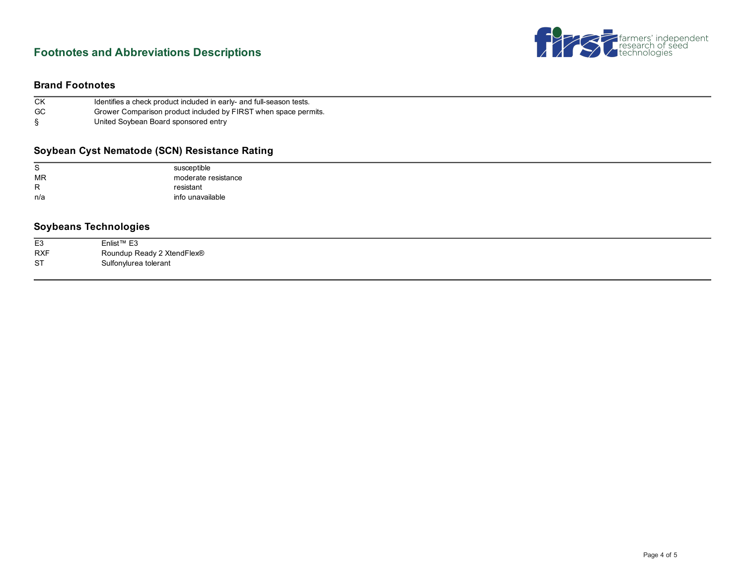# **Footnotes and Abbreviations Descriptions**



#### **Brand Footnotes**

| CK        | Identifies a check product included in early- and full-season tests. |
|-----------|----------------------------------------------------------------------|
| <b>GC</b> | Grower Comparison product included by FIRST when space permits.      |
|           | United Soybean Board sponsored entry                                 |

#### **Soybean Cyst Nematode (SCN) Resistance Rating**

| S            | susceptible         |
|--------------|---------------------|
| <b>MR</b>    | moderate resistance |
| $\mathsf{R}$ | resistant           |
| n/a          | info unavailable    |
|              |                     |

## **Soybeans Technologies**

| E <sub>3</sub> | Enlist <sup>™</sup> E3     |
|----------------|----------------------------|
| <b>RXF</b>     | Roundup Ready 2 XtendFlex® |
| <b>ST</b>      | Sulfonylurea tolerant      |